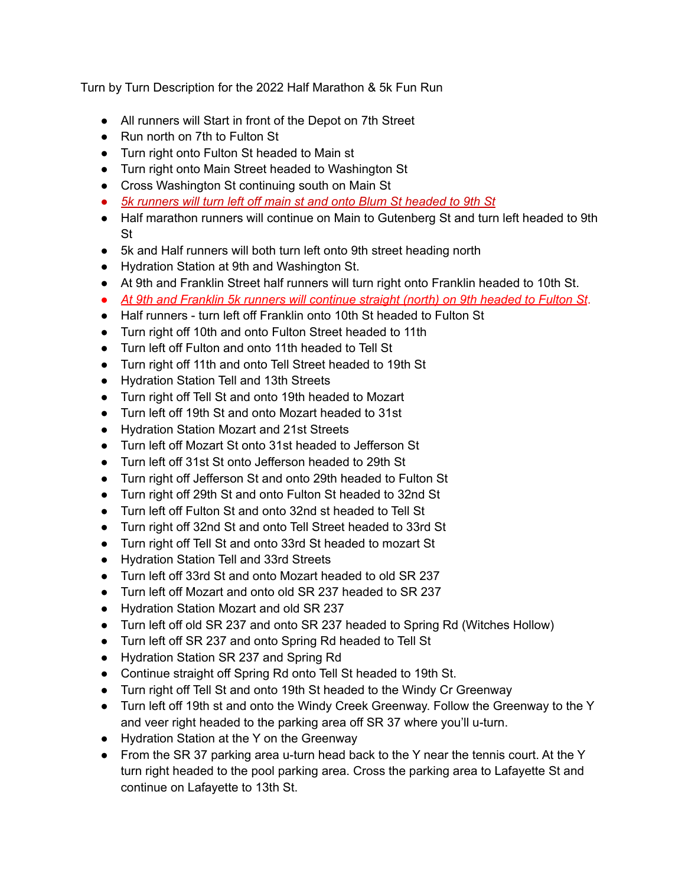Turn by Turn Description for the 2022 Half Marathon & 5k Fun Run

- All runners will Start in front of the Depot on 7th Street
- Run north on 7th to Fulton St
- Turn right onto Fulton St headed to Main st
- Turn right onto Main Street headed to Washington St
- Cross Washington St continuing south on Main St
- *● 5k runners will turn left off main st and onto Blum St headed to 9th St*
- Half marathon runners will continue on Main to Gutenberg St and turn left headed to 9th St
- 5k and Half runners will both turn left onto 9th street heading north
- Hydration Station at 9th and Washington St.
- At 9th and Franklin Street half runners will turn right onto Franklin headed to 10th St.
- *At 9th and Franklin 5k runners will continue straight (north) on 9th headed to Fulton St*.
- Half runners turn left off Franklin onto 10th St headed to Fulton St
- Turn right off 10th and onto Fulton Street headed to 11th
- Turn left off Fulton and onto 11th headed to Tell St
- Turn right off 11th and onto Tell Street headed to 19th St
- Hydration Station Tell and 13th Streets
- Turn right off Tell St and onto 19th headed to Mozart
- Turn left off 19th St and onto Mozart headed to 31st
- Hydration Station Mozart and 21st Streets
- Turn left off Mozart St onto 31st headed to Jefferson St
- Turn left off 31st St onto Jefferson headed to 29th St
- Turn right off Jefferson St and onto 29th headed to Fulton St
- Turn right off 29th St and onto Fulton St headed to 32nd St
- Turn left off Fulton St and onto 32nd st headed to Tell St
- Turn right off 32nd St and onto Tell Street headed to 33rd St
- Turn right off Tell St and onto 33rd St headed to mozart St
- Hydration Station Tell and 33rd Streets
- Turn left off 33rd St and onto Mozart headed to old SR 237
- Turn left off Mozart and onto old SR 237 headed to SR 237
- Hydration Station Mozart and old SR 237
- Turn left off old SR 237 and onto SR 237 headed to Spring Rd (Witches Hollow)
- Turn left off SR 237 and onto Spring Rd headed to Tell St
- Hydration Station SR 237 and Spring Rd
- Continue straight off Spring Rd onto Tell St headed to 19th St.
- Turn right off Tell St and onto 19th St headed to the Windy Cr Greenway
- Turn left off 19th st and onto the Windy Creek Greenway. Follow the Greenway to the Y and veer right headed to the parking area off SR 37 where you'll u-turn.
- Hydration Station at the Y on the Greenway
- From the SR 37 parking area u-turn head back to the Y near the tennis court. At the Y turn right headed to the pool parking area. Cross the parking area to Lafayette St and continue on Lafayette to 13th St.